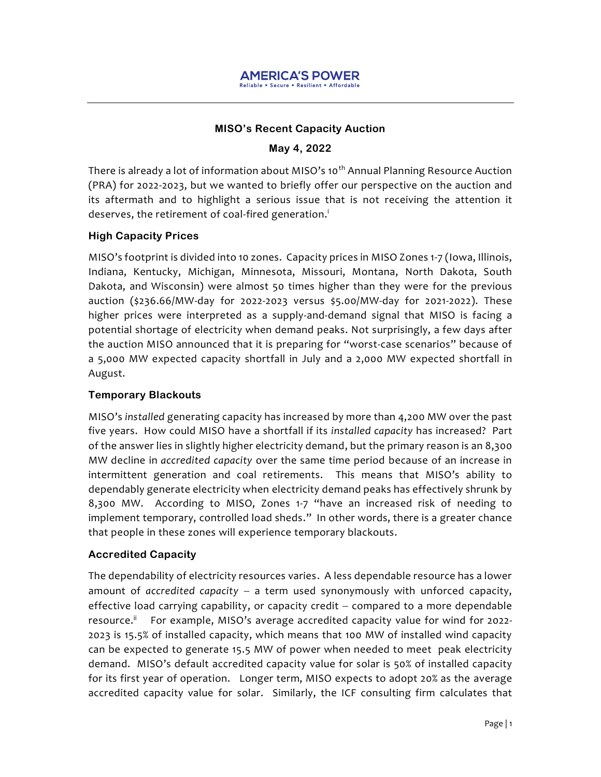

#### **MISO's Recent Capacity Auction**

#### **May 4, 2022**

There is already a lot of information about MISO's 10<sup>th</sup> Annual Planning Resource Auction (PRA) for 2022-2023, but we wanted to briefly offer our perspective on the auction and its aftermath and to highlight a serious issue that is not receiving the attention it deserves, the retirement of coal-fired generation. i

#### **High Capacity Prices**

MISO's footprint is divided into 10 zones. Capacity prices in MISO Zones 1-7 (Iowa, Illinois, Indiana, Kentucky, Michigan, Minnesota, Missouri, Montana, North Dakota, South Dakota, and Wisconsin) were almost 50 times higher than they were for the previous auction (\$236.66/MW-day for 2022-2023 versus \$5.00/MW-day for 2021-2022). These higher prices were interpreted as a supply-and-demand signal that MISO is facing a potential shortage of electricity when demand peaks. Not surprisingly, a few days after the auction MISO announced that it is preparing for "worst-case scenarios" because of a 5,000 MW expected capacity shortfall in July and a 2,000 MW expected shortfall in August.

## **Temporary Blackouts**

MISO's *installed* generating capacity has increased by more than 4,200 MW over the past five years. How could MISO have a shortfall if its *installed capacity* has increased? Part of the answer lies in slightly higher electricity demand, but the primary reason is an 8,300 MW decline in *accredited capacity* over the same time period because of an increase in intermittent generation and coal retirements. This means that MISO's ability to dependably generate electricity when electricity demand peaks has effectively shrunk by 8,300 MW. According to MISO, Zones 1-7 "have an increased risk of needing to implement temporary, controlled load sheds." In other words, there is a greater chance that people in these zones will experience temporary blackouts.

## **Accredited Capacity**

The dependability of electricity resources varies. A less dependable resource has a lower amount of *accredited capacity* − a term used synonymously with unforced capacity, effective load carrying capability, or capacity credit – compared to a more dependable resource.<sup>ii</sup> For example, MISO's average accredited capacity value for wind for 2022- 2023 is 15.5% of installed capacity, which means that 100 MW of installed wind capacity can be expected to generate 15.5 MW of power when needed to meet peak electricity demand. MISO's default accredited capacity value for solar is 50% of installed capacity for its first year of operation. Longer term, MISO expects to adopt 20% as the average accredited capacity value for solar. Similarly, the ICF consulting firm calculates that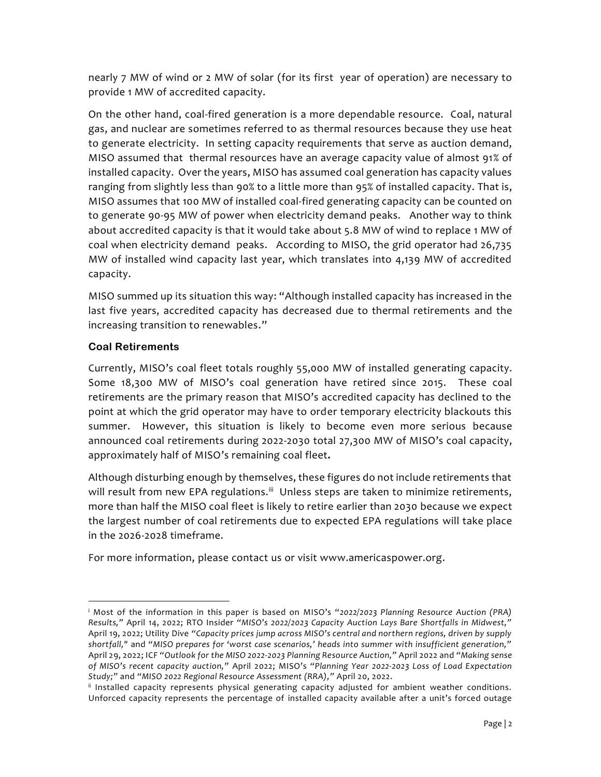nearly 7 MW of wind or 2 MW of solar (for its first year of operation) are necessary to provide 1 MW of accredited capacity.

On the other hand, coal-fired generation is a more dependable resource. Coal, natural gas, and nuclear are sometimes referred to as thermal resources because they use heat to generate electricity. In setting capacity requirements that serve as auction demand, MISO assumed that thermal resources have an average capacity value of almost 91% of installed capacity. Over the years, MISO has assumed coal generation has capacity values ranging from slightly less than 90% to a little more than 95% of installed capacity. That is, MISO assumes that 100 MW of installed coal-fired generating capacity can be counted on to generate 90-95 MW of power when electricity demand peaks. Another way to think about accredited capacity is that it would take about 5.8 MW of wind to replace 1 MW of coal when electricity demand peaks. According to MISO, the grid operator had 26,735 MW of installed wind capacity last year, which translates into 4,139 MW of accredited capacity.

MISO summed up its situation this way: "Although installed capacity has increased in the last five years, accredited capacity has decreased due to thermal retirements and the increasing transition to renewables."

# **Coal Retirements**

Currently, MISO's coal fleet totals roughly 55,000 MW of installed generating capacity. Some 18,300 MW of MISO's coal generation have retired since 2015. These coal retirements are the primary reason that MISO's accredited capacity has declined to the point at which the grid operator may have to order temporary electricity blackouts this summer. However, this situation is likely to become even more serious because announced coal retirements during 2022-2030 total 27,300 MW of MISO's coal capacity, approximately half of MISO's remaining coal fleet**.**

Although disturbing enough by themselves, these figures do not include retirements that will result from new EPA regulations.<sup>iii</sup> Unless steps are taken to minimize retirements, more than half the MISO coal fleet is likely to retire earlier than 2030 because we expect the largest number of coal retirements due to expected EPA regulations will take place in the 2026-2028 timeframe.

For more information, please contact us or visit www.americaspower.org.

<sup>i</sup> Most of the information in this paper is based on MISO's "*2022/2023 Planning Resource Auction (PRA) Results,"* April 14, 2022; RTO Insider *"MISO's 2022/2023 Capacity Auction Lays Bare Shortfalls in Midwest,"*  April 19, 2022; Utility Dive *"Capacity prices jump across MISO's central and northern regions, driven by supply shortfall,"* and *"MISO prepares for 'worst case scenarios,' heads into summer with insufficient generation,"*  April 29, 2022; ICF *"Outlook for the MISO 2022-2023 Planning Resource Auction,"* April 2022 and *"Making sense of MISO's recent capacity auction,"* April 2022; MISO's *"Planning Year 2022-2023 Loss of Load Expectation Study;"* and *"MISO 2022 Regional Resource Assessment (RRA),"* April 20, 2022.

ii Installed capacity represents physical generating capacity adjusted for ambient weather conditions. Unforced capacity represents the percentage of installed capacity available after a unit's forced outage